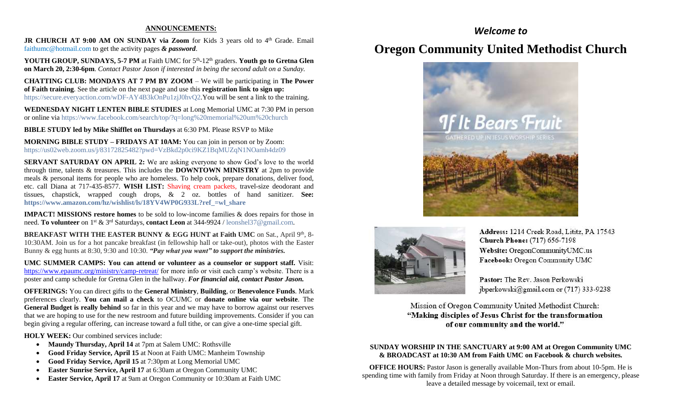#### **ANNOUNCEMENTS:**

JR CHURCH AT 9:00 AM ON SUNDAY via Zoom for Kids 3 years old to 4<sup>th</sup> Grade. Email [faithumc@hotmail.com](about:blank) to get the activity pages *& password*.

YOUTH GROUP, SUNDAYS, 5-7 PM at Faith UMC for 5<sup>th</sup>-12<sup>th</sup> graders. Youth go to Gretna Glen **on March 20, 2:30-6pm***. Contact Pastor Jason if interested in being the second adult on a Sunday.*

**CHATTING CLUB: MONDAYS AT 7 PM BY ZOOM** – We will be participating in **The Power of Faith training**. See the article on the next page and use this **registration link to sign up:** https://secure.everyaction.com/wDF-AY4B3kOnPu1zjJ0hvO2.You will be sent a link to the training.

**WEDNESDAY NIGHT LENTEN BIBLE STUDIES** at Long Memorial UMC at 7:30 PM in person or online via <https://www.facebook.com/search/top/?q=long%20memorial%20um%20church>

**BIBLE STUDY led by Mike Shifflet on Thursdays** at 6:30 PM. Please RSVP to Mike

**MORNING BIBLE STUDY – FRIDAYS AT 10AM:** You can join in person or by Zoom: [https://us02web.zoom.us/j/83172825482?pwd=VzBkd2p0ci9KZ1BqMUZqN1NOamh4dz09](about:blank)

**SERVANT SATURDAY ON APRIL 2:** We are asking everyone to show God's love to the world through time, talents & treasures. This includes the **DOWNTOWN MINISTRY** at 2pm to provide meals & personal items for people who are homeless. To help cook, prepare donations, deliver food, etc. call Diana at 717-435-8577. **WISH LIST:** Shaving cream packets, travel-size deodorant and tissues, chapstick, wrapped cough drops, & 2 oz. bottles of hand sanitizer. **See: [https://www.amazon.com/hz/wishlist/ls/18YV4WP0G933L?ref\\_=wl\\_share](about:blank)**

**IMPACT! MISSIONS restore homes** to be sold to low-income families & does repairs for those in need. **To volunteer** on 1st & 3rd Saturdays, **contact Leon** at 344-9924 / [leonshel37@gmail.com.](about:blank)

**BREAKFAST WITH THE EASTER BUNNY & EGG HUNT at Faith UMC** on Sat., April 9<sup>th</sup>, 8-10:30AM. Join us for a hot pancake breakfast (in fellowship hall or take-out), photos with the Easter Bunny & egg hunts at 8:30, 9:30 and 10:30. *"Pay what you want" to support the ministries.*

**UMC SUMMER CAMPS: You can attend or volunteer as a counselor or support staff.** Visit: <https://www.epaumc.org/ministry/camp-retreat/> for more info or visit each camp's website. There is a poster and camp schedule for Gretna Glen in the hallway. *For financial aid, contact Pastor Jason.*

**OFFERINGS:** You can direct gifts to the **General Ministry**, **Building**, or **Benevolence Funds**. Mark preferences clearly. **You can mail a check** to OCUMC or **donate online via our website**. The **General Budget is really behind** so far in this year and we may have to borrow against our reserves that we are hoping to use for the new restroom and future building improvements. Consider if you can begin giving a regular offering, can increase toward a full tithe, or can give a one-time special gift.

**HOLY WEEK:** Our combined services include:

- **Maundy Thursday, April 14** at 7pm at Salem UMC: Rothsville
- **Good Friday Service, April 15** at Noon at Faith UMC: Manheim Township
- **Good Friday Service, April 15** at 7:30pm at Long Memorial UMC
- **Easter Sunrise Service, April 17** at 6:30am at Oregon Community UMC
- **Easter Service, April 17** at 9am at Oregon Community or 10:30am at Faith UMC

# *Welcome to*

# **Oregon Community United Methodist Church**





Address: 1214 Creek Road, Lititz, PA 17543 **Church Phone:** (717) 656-7198 Website: OregonCommunityUMC.us Facebook: Oregon Community UMC

Pastor: The Rev. Jason Perkowski jbperkowski@gmail.com or (717) 333-9238

Mission of Oregon Community United Methodist Church: "Making disciples of Jesus Christ for the transformation of our community and the world."

## **SUNDAY WORSHIP IN THE SANCTUARY at 9:00 AM at Oregon Community UMC & BROADCAST at 10:30 AM from Faith UMC on Facebook & church websites.**

**OFFICE HOURS:** Pastor Jason is generally available Mon-Thurs from about 10-5pm. He is spending time with family from Friday at Noon through Saturday. If there is an emergency, please leave a detailed message by voicemail, text or email.